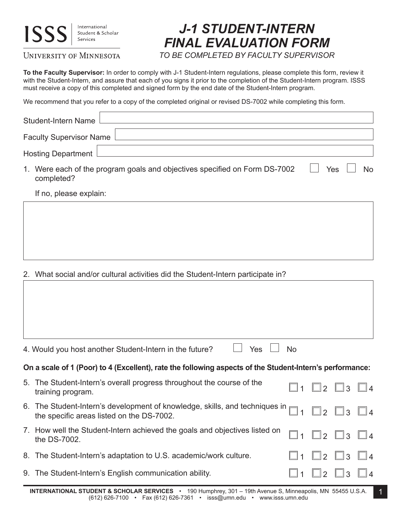

UNIVERSITY OF MINNESOTA

## *J-1 STUDENT-INTERN FINAL EVALUATION FORM*

*TO BE COMPLETED BY FACULTY SUPERVISOR*

**To the Faculty Supervisor:** In order to comply with J-1 Student-Intern regulations, please complete this form, review it with the Student-Intern, and assure that each of you signs it prior to the completion of the Student-Intern program. ISSS must receive a copy of this completed and signed form by the end date of the Student-Intern program.

We recommend that you refer to a copy of the completed original or revised DS-7002 while completing this form.

| Student-Intern Name                                                                      |                  |
|------------------------------------------------------------------------------------------|------------------|
| <b>Faculty Supervisor Name</b>                                                           |                  |
| <b>Hosting Department</b>                                                                |                  |
| 1. Were each of the program goals and objectives specified on Form DS-7002<br>completed? | Yes<br><b>No</b> |
| If no, please explain:                                                                   |                  |
|                                                                                          |                  |
|                                                                                          |                  |
|                                                                                          |                  |
|                                                                                          |                  |

2. What social and/or cultural activities did the Student-Intern participate in?

|                                                                                                          | Yes<br>4. Would you host another Student-Intern in the future?                                                           | <b>No</b> |               |                         |          |  |
|----------------------------------------------------------------------------------------------------------|--------------------------------------------------------------------------------------------------------------------------|-----------|---------------|-------------------------|----------|--|
| On a scale of 1 (Poor) to 4 (Excellent), rate the following aspects of the Student-Intern's performance: |                                                                                                                          |           |               |                         |          |  |
|                                                                                                          | 5. The Student-Intern's overall progress throughout the course of the<br>training program.                               |           |               | $\Box$ 2 $\Box$ 3       | $\Box$ 4 |  |
|                                                                                                          | 6. The Student-Intern's development of knowledge, skills, and techniques in<br>the specific areas listed on the DS-7002. |           | $\mathbb{R}$  | $\square$ 3 $\square$ 4 |          |  |
|                                                                                                          | 7. How well the Student-Intern achieved the goals and objectives listed on<br>the DS-7002.                               |           |               | $\vert 2 \vert \vert$ 3 | $\Box$ 4 |  |
|                                                                                                          | 8. The Student-Intern's adaptation to U.S. academic/work culture.                                                        |           | $\mathcal{P}$ | 3<br>$\mathbb{L}$       | $\Box$ 4 |  |
|                                                                                                          | 9. The Student-Intern's English communication ability.                                                                   |           | $\mathcal{P}$ |                         |          |  |
|                                                                                                          |                                                                                                                          |           |               |                         |          |  |